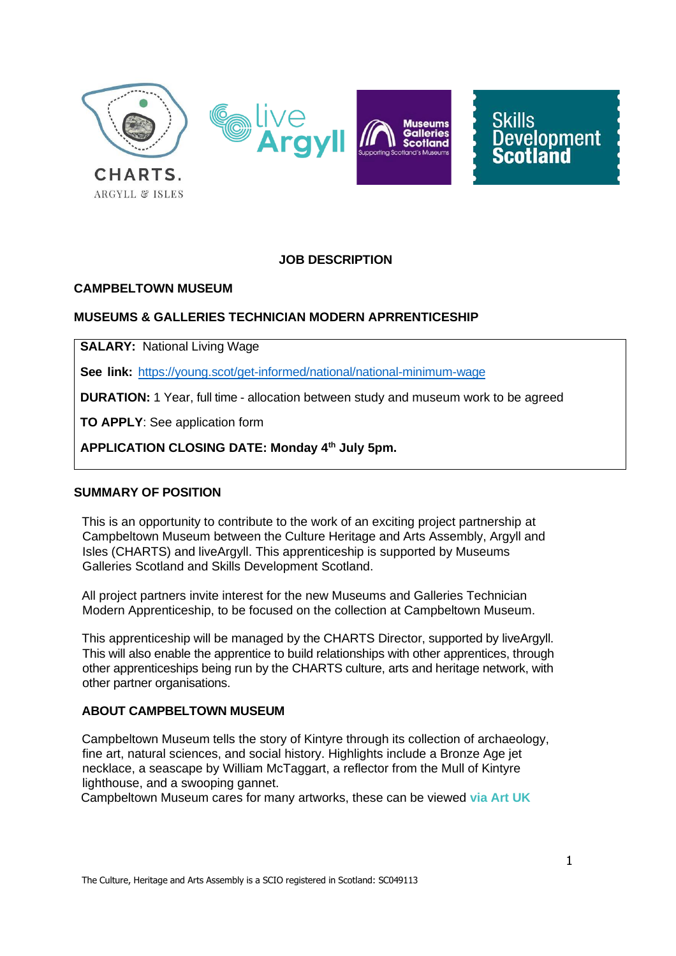

# **JOB DESCRIPTION**

#### **CAMPBELTOWN MUSEUM**

#### **MUSEUMS & GALLERIES TECHNICIAN MODERN APRRENTICESHIP**

**SALARY:** National Living Wage

**See link:** https://young.scot/get-informed/national/national-minimum-wage

**DURATION:** 1 Year, full time - allocation between study and museum work to be agreed

**TO APPLY**: See application form

**APPLICATION CLOSING DATE: Monday 4th July 5pm.**

#### **SUMMARY OF POSITION**

This is an opportunity to contribute to the work of an exciting project partnership at Campbeltown Museum between the Culture Heritage and Arts Assembly, Argyll and Isles (CHARTS) and liveArgyll. This apprenticeship is supported by Museums Galleries Scotland and Skills Development Scotland.

All project partners invite interest for the new Museums and Galleries Technician Modern Apprenticeship, to be focused on the collection at Campbeltown Museum.

This apprenticeship will be managed by the CHARTS Director, supported by liveArgyll. This will also enable the apprentice to build relationships with other apprentices, through other apprenticeships being run by the CHARTS culture, arts and heritage network, with other partner organisations.

#### **ABOUT CAMPBELTOWN MUSEUM**

Campbeltown Museum tells the story of Kintyre through its collection of archaeology, fine art, natural sciences, and social history. Highlights include a Bronze Age jet necklace, a seascape by William McTaggart, a reflector from the Mull of Kintyre lighthouse, and a swooping gannet.

Campbeltown Museum cares for many artworks, these can be viewed **via Art [UK](http://artuk.org/visit/venues/campbeltown-museum-6569)**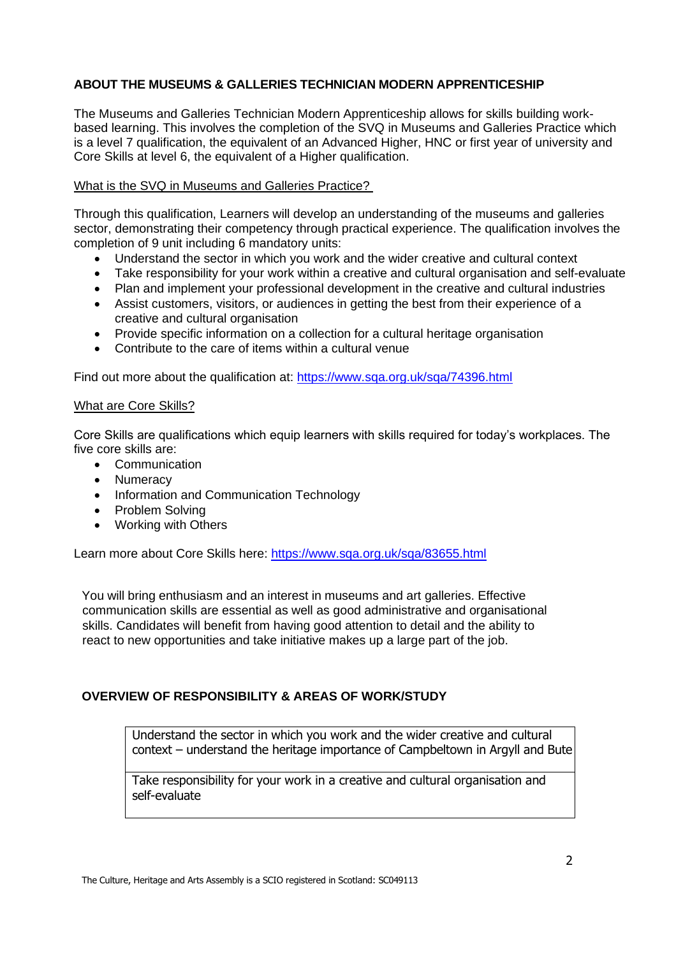# **ABOUT THE MUSEUMS & GALLERIES TECHNICIAN MODERN APPRENTICESHIP**

The Museums and Galleries Technician Modern Apprenticeship allows for skills building workbased learning. This involves the completion of the SVQ in Museums and Galleries Practice which is a level 7 qualification, the equivalent of an Advanced Higher, HNC or first year of university and Core Skills at level 6, the equivalent of a Higher qualification.

## What is the SVQ in Museums and Galleries Practice?

Through this qualification, Learners will develop an understanding of the museums and galleries sector, demonstrating their competency through practical experience. The qualification involves the completion of 9 unit including 6 mandatory units:

- Understand the sector in which you work and the wider creative and cultural context
- Take responsibility for your work within a creative and cultural organisation and self-evaluate
- Plan and implement your professional development in the creative and cultural industries
- Assist customers, visitors, or audiences in getting the best from their experience of a creative and cultural organisation
- Provide specific information on a collection for a cultural heritage organisation
- Contribute to the care of items within a cultural venue

Find out more about the qualification at:<https://www.sqa.org.uk/sqa/74396.html>

#### What are Core Skills?

Core Skills are qualifications which equip learners with skills required for today's workplaces. The five core skills are:

- **Communication**
- Numeracy
- Information and Communication Technology
- Problem Solving
- Working with Others

Learn more about Core Skills here:<https://www.sqa.org.uk/sqa/83655.html>

You will bring enthusiasm and an interest in museums and art galleries. Effective communication skills are essential as well as good administrative and organisational skills. Candidates will benefit from having good attention to detail and the ability to react to new opportunities and take initiative makes up a large part of the job.

# **OVERVIEW OF RESPONSIBILITY & AREAS OF WORK/STUDY**

Understand the sector in which you work and the wider creative and cultural context – understand the heritage importance of Campbeltown in Argyll and Bute

Take responsibility for your work in a creative and cultural organisation and self-evaluate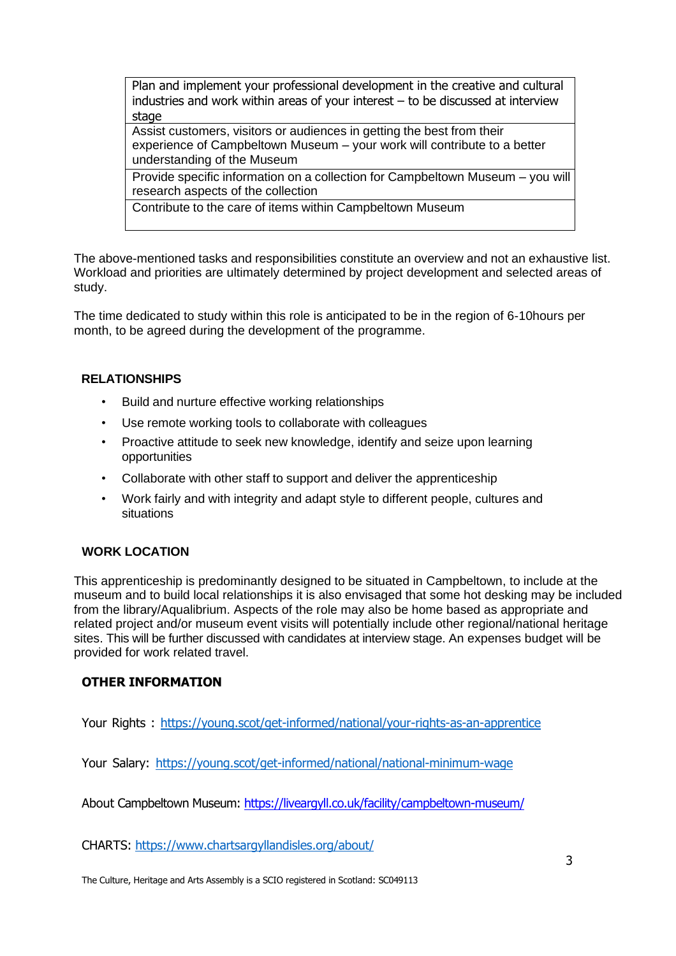Plan and implement your professional development in the creative and cultural industries and work within areas of your interest – to be discussed at interview stage

Assist customers, visitors or audiences in getting the best from their experience of Campbeltown Museum – your work will contribute to a better understanding of the Museum

Provide specific information on a collection for Campbeltown Museum – you will research aspects of the collection

Contribute to the care of items within Campbeltown Museum

The above-mentioned tasks and responsibilities constitute an overview and not an exhaustive list. Workload and priorities are ultimately determined by project development and selected areas of study.

The time dedicated to study within this role is anticipated to be in the region of 6-10hours per month, to be agreed during the development of the programme.

# **RELATIONSHIPS**

- Build and nurture effective working relationships
- Use remote working tools to collaborate with colleagues
- Proactive attitude to seek new knowledge, identify and seize upon learning opportunities
- Collaborate with other staff to support and deliver the apprenticeship
- Work fairly and with integrity and adapt style to different people, cultures and situations

# **WORK LOCATION**

This apprenticeship is predominantly designed to be situated in Campbeltown, to include at the museum and to build local relationships it is also envisaged that some hot desking may be included from the library/Aqualibrium. Aspects of the role may also be home based as appropriate and related project and/or museum event visits will potentially include other regional/national heritage sites. This will be further discussed with candidates at interview stage. An expenses budget will be provided for work related travel.

# **OTHER INFORMATION**

Your Rights : https://young.scot/get-informed/national/your-rights-as-an-apprentice

Your Salary: https://young.scot/get-informed/national/national-minimum-wage

About Campbeltown Museum:<https://liveargyll.co.uk/facility/campbeltown-museum/>

CHARTS: https:/[/www.chartsargyllandisles.org/about/](http://www.chartsargyllandisles.org/about/)

The Culture, Heritage and Arts Assembly is a SCIO registered in Scotland: SC049113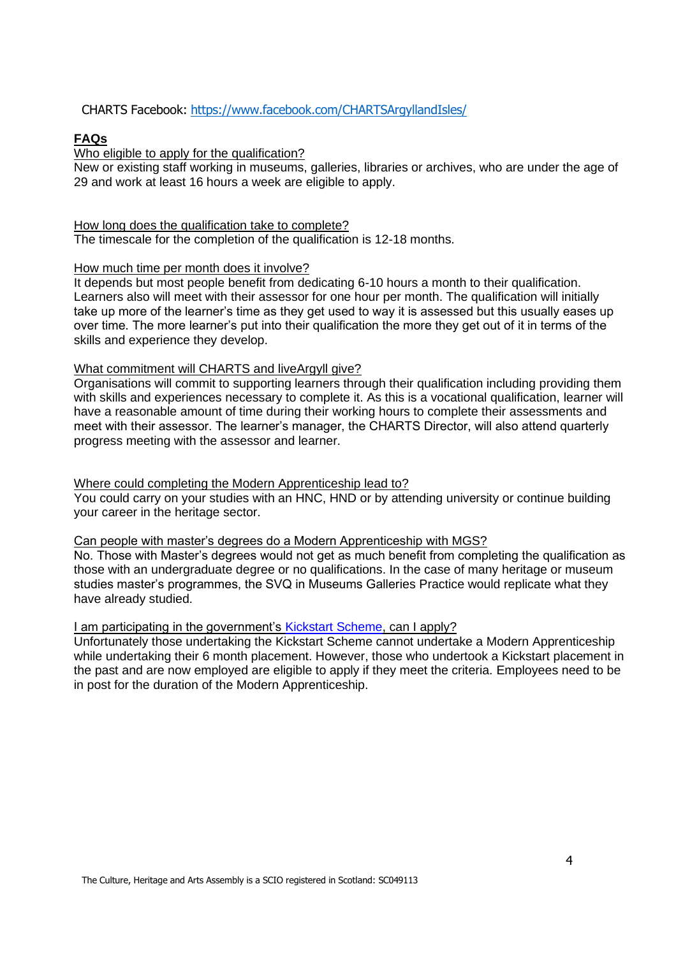CHARTS Facebook: https:/[/www.facebook.com/CHARTSArgyllandIsles/](http://www.facebook.com/CHARTSArgyllandIsles/)

# **FAQs**

Who eligible to apply for the qualification?

New or existing staff working in museums, galleries, libraries or archives, who are under the age of 29 and work at least 16 hours a week are eligible to apply.

## How long does the qualification take to complete?

The timescale for the completion of the qualification is 12-18 months.

## How much time per month does it involve?

It depends but most people benefit from dedicating 6-10 hours a month to their qualification. Learners also will meet with their assessor for one hour per month. The qualification will initially take up more of the learner's time as they get used to way it is assessed but this usually eases up over time. The more learner's put into their qualification the more they get out of it in terms of the skills and experience they develop.

## What commitment will CHARTS and liveArgyll give?

Organisations will commit to supporting learners through their qualification including providing them with skills and experiences necessary to complete it. As this is a vocational qualification, learner will have a reasonable amount of time during their working hours to complete their assessments and meet with their assessor. The learner's manager, the CHARTS Director, will also attend quarterly progress meeting with the assessor and learner.

# Where could completing the Modern Apprenticeship lead to?

You could carry on your studies with an HNC, HND or by attending university or continue building your career in the heritage sector.

#### Can people with master's degrees do a Modern Apprenticeship with MGS?

No. Those with Master's degrees would not get as much benefit from completing the qualification as those with an undergraduate degree or no qualifications. In the case of many heritage or museum studies master's programmes, the SVQ in Museums Galleries Practice would replicate what they have already studied.

#### I am participating in the government's [Kickstart Scheme,](https://www.gov.uk/government/collections/kickstart-scheme) can I apply?

Unfortunately those undertaking the Kickstart Scheme cannot undertake a Modern Apprenticeship while undertaking their 6 month placement. However, those who undertook a Kickstart placement in the past and are now employed are eligible to apply if they meet the criteria. Employees need to be in post for the duration of the Modern Apprenticeship.